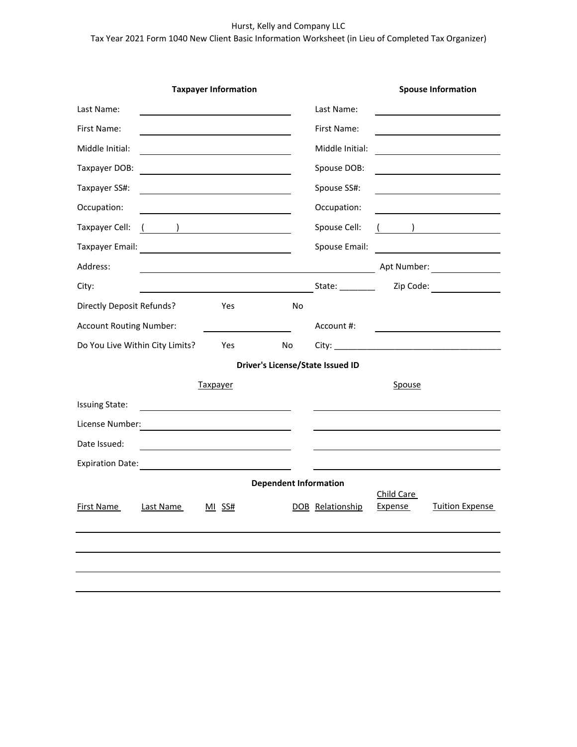### Hurst, Kelly and Company LLC

# Tax Year 2021 Form 1040 New Client Basic Information Worksheet (in Lieu of Completed Tax Organizer)

| <b>Taxpayer Information</b>                                                   |    |                  |            | <b>Spouse Information</b>                                                                                      |  |  |
|-------------------------------------------------------------------------------|----|------------------|------------|----------------------------------------------------------------------------------------------------------------|--|--|
| Last Name:                                                                    |    | Last Name:       |            |                                                                                                                |  |  |
| First Name:                                                                   |    | First Name:      |            |                                                                                                                |  |  |
| Middle Initial:                                                               |    | Middle Initial:  |            |                                                                                                                |  |  |
| Taxpayer DOB:                                                                 |    | Spouse DOB:      |            |                                                                                                                |  |  |
| Taxpayer SS#:                                                                 |    | Spouse SS#:      |            |                                                                                                                |  |  |
| Occupation:                                                                   |    | Occupation:      |            |                                                                                                                |  |  |
| $($ ) <u>_______________________</u><br>Taxpayer Cell:                        |    | Spouse Cell:     |            | ) and the contract of $\overline{\phantom{a}}$                                                                 |  |  |
|                                                                               |    | Spouse Email:    |            |                                                                                                                |  |  |
| Address:                                                                      |    |                  |            | Apt Number: North States                                                                                       |  |  |
| City:                                                                         |    | State: _________ |            | Zip Code: The Code State of the Code State of the Code State of the Code State of the Code State of the Code S |  |  |
| Directly Deposit Refunds?<br>Yes                                              | No |                  |            |                                                                                                                |  |  |
| <b>Account Routing Number:</b>                                                |    | Account #:       |            |                                                                                                                |  |  |
| Do You Live Within City Limits?<br>Yes<br>No                                  |    |                  |            |                                                                                                                |  |  |
| Driver's License/State Issued ID                                              |    |                  |            |                                                                                                                |  |  |
| <b>Taxpayer</b>                                                               |    |                  | Spouse     |                                                                                                                |  |  |
| <b>Issuing State:</b>                                                         |    |                  |            |                                                                                                                |  |  |
| License Number:                                                               |    |                  |            |                                                                                                                |  |  |
| Date Issued:                                                                  |    |                  |            |                                                                                                                |  |  |
| <b>Expiration Date:</b><br><u> 1989 - John Stein, Amerikaansk politiker (</u> |    |                  |            |                                                                                                                |  |  |
| <b>Dependent Information</b>                                                  |    |                  |            |                                                                                                                |  |  |
| First Name Last Name MI SS#                                                   |    | DOB Relationship | Child Care | <b>Expense</b> Tuition Expense                                                                                 |  |  |
|                                                                               |    |                  |            |                                                                                                                |  |  |
|                                                                               |    |                  |            |                                                                                                                |  |  |
|                                                                               |    |                  |            |                                                                                                                |  |  |